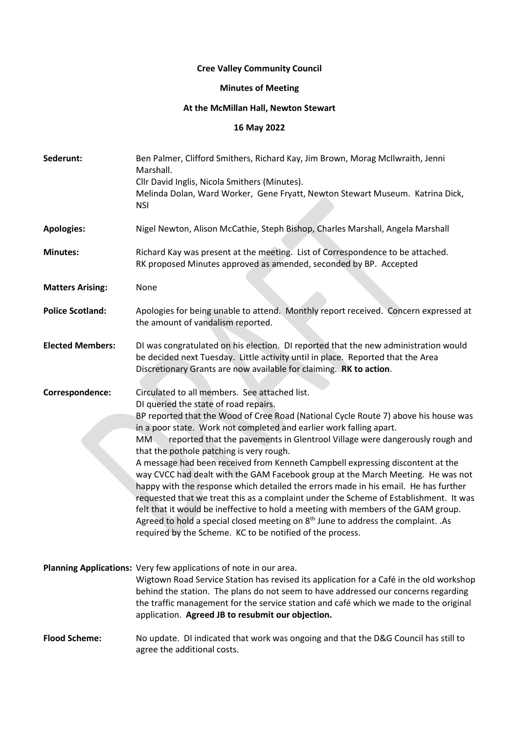## **Cree Valley Community Council**

## **Minutes of Meeting**

## **At the McMillan Hall, Newton Stewart**

## **16 May 2022**

| Sederunt:               | Ben Palmer, Clifford Smithers, Richard Kay, Jim Brown, Morag McIlwraith, Jenni<br>Marshall.<br>Cllr David Inglis, Nicola Smithers (Minutes).<br>Melinda Dolan, Ward Worker, Gene Fryatt, Newton Stewart Museum. Katrina Dick,<br><b>NSI</b>                                                                                                                                                                                                                                                                                                                                                                                                                                                                                                                                                                                                                                                                                                                                                     |
|-------------------------|-------------------------------------------------------------------------------------------------------------------------------------------------------------------------------------------------------------------------------------------------------------------------------------------------------------------------------------------------------------------------------------------------------------------------------------------------------------------------------------------------------------------------------------------------------------------------------------------------------------------------------------------------------------------------------------------------------------------------------------------------------------------------------------------------------------------------------------------------------------------------------------------------------------------------------------------------------------------------------------------------|
| <b>Apologies:</b>       | Nigel Newton, Alison McCathie, Steph Bishop, Charles Marshall, Angela Marshall                                                                                                                                                                                                                                                                                                                                                                                                                                                                                                                                                                                                                                                                                                                                                                                                                                                                                                                  |
| <b>Minutes:</b>         | Richard Kay was present at the meeting. List of Correspondence to be attached.<br>RK proposed Minutes approved as amended, seconded by BP. Accepted                                                                                                                                                                                                                                                                                                                                                                                                                                                                                                                                                                                                                                                                                                                                                                                                                                             |
| <b>Matters Arising:</b> | None                                                                                                                                                                                                                                                                                                                                                                                                                                                                                                                                                                                                                                                                                                                                                                                                                                                                                                                                                                                            |
| <b>Police Scotland:</b> | Apologies for being unable to attend. Monthly report received. Concern expressed at<br>the amount of vandalism reported.                                                                                                                                                                                                                                                                                                                                                                                                                                                                                                                                                                                                                                                                                                                                                                                                                                                                        |
| <b>Elected Members:</b> | DI was congratulated on his election. DI reported that the new administration would<br>be decided next Tuesday. Little activity until in place. Reported that the Area<br>Discretionary Grants are now available for claiming. RK to action.                                                                                                                                                                                                                                                                                                                                                                                                                                                                                                                                                                                                                                                                                                                                                    |
| Correspondence:         | Circulated to all members. See attached list.<br>DI queried the state of road repairs.<br>BP reported that the Wood of Cree Road (National Cycle Route 7) above his house was<br>in a poor state. Work not completed and earlier work falling apart.<br>reported that the pavements in Glentrool Village were dangerously rough and<br>MM.<br>that the pothole patching is very rough.<br>A message had been received from Kenneth Campbell expressing discontent at the<br>way CVCC had dealt with the GAM Facebook group at the March Meeting. He was not<br>happy with the response which detailed the errors made in his email. He has further<br>requested that we treat this as a complaint under the Scheme of Establishment. It was<br>felt that it would be ineffective to hold a meeting with members of the GAM group.<br>Agreed to hold a special closed meeting on 8 <sup>th</sup> June to address the complaint. .As<br>required by the Scheme. KC to be notified of the process. |
|                         | Planning Applications: Very few applications of note in our area.<br>Wigtown Road Service Station has revised its application for a Café in the old workshop<br>behind the station. The plans do not seem to have addressed our concerns regarding<br>the traffic management for the service station and café which we made to the original<br>application. Agreed JB to resubmit our objection.                                                                                                                                                                                                                                                                                                                                                                                                                                                                                                                                                                                                |
| <b>Flood Scheme:</b>    | No update. DI indicated that work was ongoing and that the D&G Council has still to<br>agree the additional costs.                                                                                                                                                                                                                                                                                                                                                                                                                                                                                                                                                                                                                                                                                                                                                                                                                                                                              |